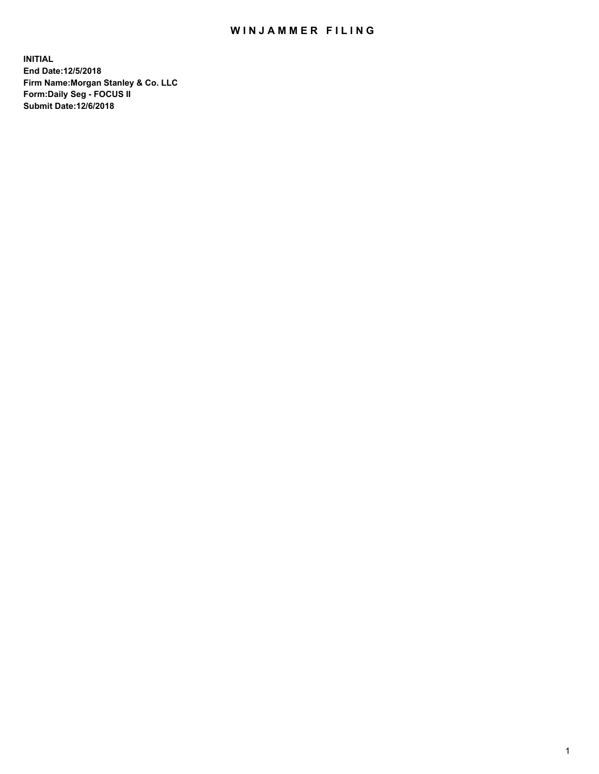## WIN JAMMER FILING

**INITIAL End Date:12/5/2018 Firm Name:Morgan Stanley & Co. LLC Form:Daily Seg - FOCUS II Submit Date:12/6/2018**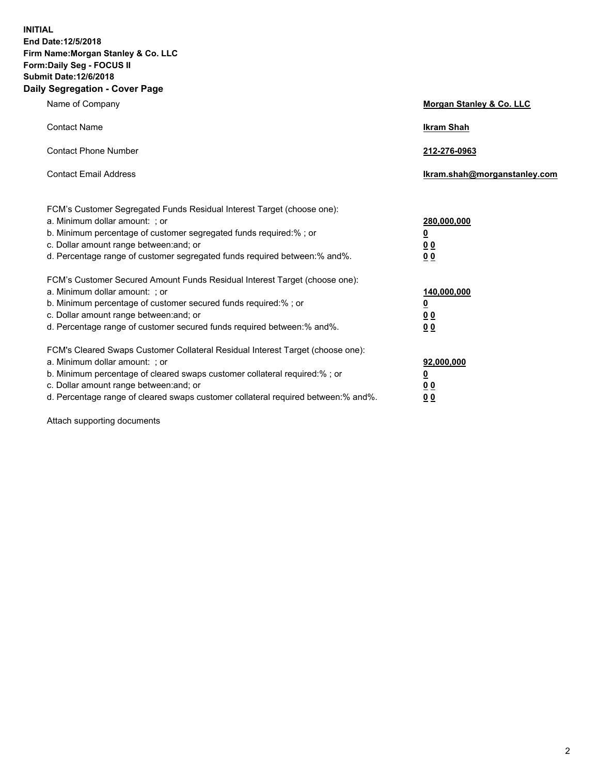**INITIAL End Date:12/5/2018 Firm Name:Morgan Stanley & Co. LLC Form:Daily Seg - FOCUS II Submit Date:12/6/2018 Daily Segregation - Cover Page**

| Name of Company                                                                                                                                                                                                                                                                                                               | Morgan Stanley & Co. LLC                               |
|-------------------------------------------------------------------------------------------------------------------------------------------------------------------------------------------------------------------------------------------------------------------------------------------------------------------------------|--------------------------------------------------------|
| <b>Contact Name</b>                                                                                                                                                                                                                                                                                                           | <b>Ikram Shah</b>                                      |
| <b>Contact Phone Number</b>                                                                                                                                                                                                                                                                                                   | 212-276-0963                                           |
| <b>Contact Email Address</b>                                                                                                                                                                                                                                                                                                  | Ikram.shah@morganstanley.com                           |
| FCM's Customer Segregated Funds Residual Interest Target (choose one):<br>a. Minimum dollar amount: ; or<br>b. Minimum percentage of customer segregated funds required:% ; or<br>c. Dollar amount range between: and; or<br>d. Percentage range of customer segregated funds required between:% and%.                        | 280,000,000<br><u>0</u><br><u>00</u><br>0 <sup>0</sup> |
| FCM's Customer Secured Amount Funds Residual Interest Target (choose one):<br>a. Minimum dollar amount: ; or<br>b. Minimum percentage of customer secured funds required:%; or<br>c. Dollar amount range between: and; or<br>d. Percentage range of customer secured funds required between:% and%.                           | 140,000,000<br><u>0</u><br><u>00</u><br>0 <sub>0</sub> |
| FCM's Cleared Swaps Customer Collateral Residual Interest Target (choose one):<br>a. Minimum dollar amount: ; or<br>b. Minimum percentage of cleared swaps customer collateral required:%; or<br>c. Dollar amount range between: and; or<br>d. Percentage range of cleared swaps customer collateral required between:% and%. | 92,000,000<br><u>0</u><br>0 Q<br>00                    |

Attach supporting documents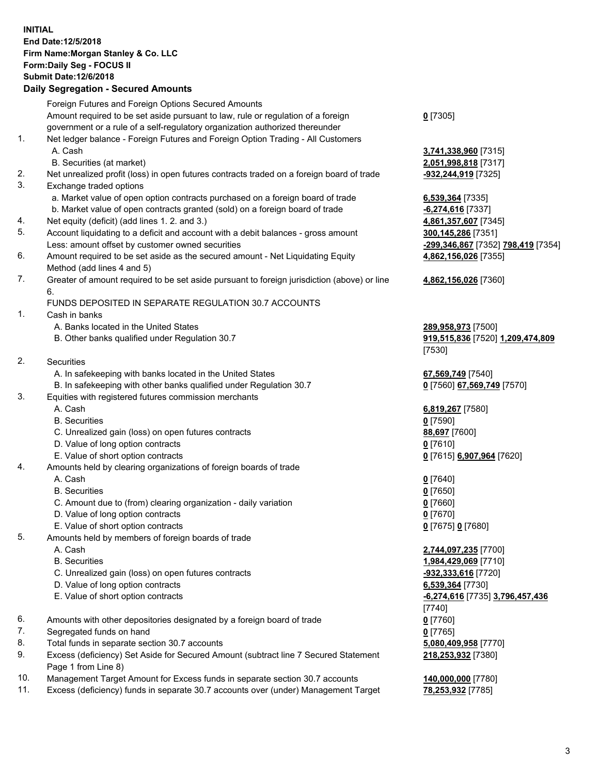## **INITIAL End Date:12/5/2018 Firm Name:Morgan Stanley & Co. LLC Form:Daily Seg - FOCUS II Submit Date:12/6/2018**

## **Daily Segregation - Secured Amounts**

| Foreign Futures and Foreign Options Secured Amounts<br>Amount required to be set aside pursuant to law, rule or regulation of a foreign<br>$0$ [7305]<br>government or a rule of a self-regulatory organization authorized thereunder<br>1.<br>Net ledger balance - Foreign Futures and Foreign Option Trading - All Customers<br>A. Cash<br>3,741,338,960 [7315]<br>B. Securities (at market)<br>2,051,998,818 [7317]<br>2.<br>Net unrealized profit (loss) in open futures contracts traded on a foreign board of trade<br>-932,244,919 [7325]<br>3.<br>Exchange traded options<br>a. Market value of open option contracts purchased on a foreign board of trade<br>6,539,364 [7335]<br>b. Market value of open contracts granted (sold) on a foreign board of trade<br>$-6,274,616$ [7337]<br>Net equity (deficit) (add lines 1.2. and 3.)<br>4.<br>4,861,357,607 [7345]<br>5.<br>Account liquidating to a deficit and account with a debit balances - gross amount<br>300,145,286 [7351]<br>Less: amount offset by customer owned securities<br>-299,346,867 [7352] 798,419 [7354]<br>6.<br>Amount required to be set aside as the secured amount - Net Liquidating Equity<br>4,862,156,026 [7355]<br>Method (add lines 4 and 5)<br>7.<br>Greater of amount required to be set aside pursuant to foreign jurisdiction (above) or line<br>4,862,156,026 [7360]<br>6.<br>FUNDS DEPOSITED IN SEPARATE REGULATION 30.7 ACCOUNTS<br>1.<br>Cash in banks<br>A. Banks located in the United States<br>289,958,973 [7500]<br>B. Other banks qualified under Regulation 30.7<br>919,515,836 [7520] 1,209,474,809<br>[7530]<br>2.<br>Securities<br>A. In safekeeping with banks located in the United States<br>67,569,749 [7540]<br>B. In safekeeping with other banks qualified under Regulation 30.7<br>0 [7560] 67,569,749 [7570]<br>3.<br>Equities with registered futures commission merchants |  |
|-------------------------------------------------------------------------------------------------------------------------------------------------------------------------------------------------------------------------------------------------------------------------------------------------------------------------------------------------------------------------------------------------------------------------------------------------------------------------------------------------------------------------------------------------------------------------------------------------------------------------------------------------------------------------------------------------------------------------------------------------------------------------------------------------------------------------------------------------------------------------------------------------------------------------------------------------------------------------------------------------------------------------------------------------------------------------------------------------------------------------------------------------------------------------------------------------------------------------------------------------------------------------------------------------------------------------------------------------------------------------------------------------------------------------------------------------------------------------------------------------------------------------------------------------------------------------------------------------------------------------------------------------------------------------------------------------------------------------------------------------------------------------------------------------------------------------------------------------------------------------------------------------|--|
|                                                                                                                                                                                                                                                                                                                                                                                                                                                                                                                                                                                                                                                                                                                                                                                                                                                                                                                                                                                                                                                                                                                                                                                                                                                                                                                                                                                                                                                                                                                                                                                                                                                                                                                                                                                                                                                                                                 |  |
|                                                                                                                                                                                                                                                                                                                                                                                                                                                                                                                                                                                                                                                                                                                                                                                                                                                                                                                                                                                                                                                                                                                                                                                                                                                                                                                                                                                                                                                                                                                                                                                                                                                                                                                                                                                                                                                                                                 |  |
|                                                                                                                                                                                                                                                                                                                                                                                                                                                                                                                                                                                                                                                                                                                                                                                                                                                                                                                                                                                                                                                                                                                                                                                                                                                                                                                                                                                                                                                                                                                                                                                                                                                                                                                                                                                                                                                                                                 |  |
|                                                                                                                                                                                                                                                                                                                                                                                                                                                                                                                                                                                                                                                                                                                                                                                                                                                                                                                                                                                                                                                                                                                                                                                                                                                                                                                                                                                                                                                                                                                                                                                                                                                                                                                                                                                                                                                                                                 |  |
|                                                                                                                                                                                                                                                                                                                                                                                                                                                                                                                                                                                                                                                                                                                                                                                                                                                                                                                                                                                                                                                                                                                                                                                                                                                                                                                                                                                                                                                                                                                                                                                                                                                                                                                                                                                                                                                                                                 |  |
|                                                                                                                                                                                                                                                                                                                                                                                                                                                                                                                                                                                                                                                                                                                                                                                                                                                                                                                                                                                                                                                                                                                                                                                                                                                                                                                                                                                                                                                                                                                                                                                                                                                                                                                                                                                                                                                                                                 |  |
|                                                                                                                                                                                                                                                                                                                                                                                                                                                                                                                                                                                                                                                                                                                                                                                                                                                                                                                                                                                                                                                                                                                                                                                                                                                                                                                                                                                                                                                                                                                                                                                                                                                                                                                                                                                                                                                                                                 |  |
|                                                                                                                                                                                                                                                                                                                                                                                                                                                                                                                                                                                                                                                                                                                                                                                                                                                                                                                                                                                                                                                                                                                                                                                                                                                                                                                                                                                                                                                                                                                                                                                                                                                                                                                                                                                                                                                                                                 |  |
|                                                                                                                                                                                                                                                                                                                                                                                                                                                                                                                                                                                                                                                                                                                                                                                                                                                                                                                                                                                                                                                                                                                                                                                                                                                                                                                                                                                                                                                                                                                                                                                                                                                                                                                                                                                                                                                                                                 |  |
|                                                                                                                                                                                                                                                                                                                                                                                                                                                                                                                                                                                                                                                                                                                                                                                                                                                                                                                                                                                                                                                                                                                                                                                                                                                                                                                                                                                                                                                                                                                                                                                                                                                                                                                                                                                                                                                                                                 |  |
|                                                                                                                                                                                                                                                                                                                                                                                                                                                                                                                                                                                                                                                                                                                                                                                                                                                                                                                                                                                                                                                                                                                                                                                                                                                                                                                                                                                                                                                                                                                                                                                                                                                                                                                                                                                                                                                                                                 |  |
|                                                                                                                                                                                                                                                                                                                                                                                                                                                                                                                                                                                                                                                                                                                                                                                                                                                                                                                                                                                                                                                                                                                                                                                                                                                                                                                                                                                                                                                                                                                                                                                                                                                                                                                                                                                                                                                                                                 |  |
|                                                                                                                                                                                                                                                                                                                                                                                                                                                                                                                                                                                                                                                                                                                                                                                                                                                                                                                                                                                                                                                                                                                                                                                                                                                                                                                                                                                                                                                                                                                                                                                                                                                                                                                                                                                                                                                                                                 |  |
|                                                                                                                                                                                                                                                                                                                                                                                                                                                                                                                                                                                                                                                                                                                                                                                                                                                                                                                                                                                                                                                                                                                                                                                                                                                                                                                                                                                                                                                                                                                                                                                                                                                                                                                                                                                                                                                                                                 |  |
|                                                                                                                                                                                                                                                                                                                                                                                                                                                                                                                                                                                                                                                                                                                                                                                                                                                                                                                                                                                                                                                                                                                                                                                                                                                                                                                                                                                                                                                                                                                                                                                                                                                                                                                                                                                                                                                                                                 |  |
|                                                                                                                                                                                                                                                                                                                                                                                                                                                                                                                                                                                                                                                                                                                                                                                                                                                                                                                                                                                                                                                                                                                                                                                                                                                                                                                                                                                                                                                                                                                                                                                                                                                                                                                                                                                                                                                                                                 |  |
|                                                                                                                                                                                                                                                                                                                                                                                                                                                                                                                                                                                                                                                                                                                                                                                                                                                                                                                                                                                                                                                                                                                                                                                                                                                                                                                                                                                                                                                                                                                                                                                                                                                                                                                                                                                                                                                                                                 |  |
|                                                                                                                                                                                                                                                                                                                                                                                                                                                                                                                                                                                                                                                                                                                                                                                                                                                                                                                                                                                                                                                                                                                                                                                                                                                                                                                                                                                                                                                                                                                                                                                                                                                                                                                                                                                                                                                                                                 |  |
|                                                                                                                                                                                                                                                                                                                                                                                                                                                                                                                                                                                                                                                                                                                                                                                                                                                                                                                                                                                                                                                                                                                                                                                                                                                                                                                                                                                                                                                                                                                                                                                                                                                                                                                                                                                                                                                                                                 |  |
|                                                                                                                                                                                                                                                                                                                                                                                                                                                                                                                                                                                                                                                                                                                                                                                                                                                                                                                                                                                                                                                                                                                                                                                                                                                                                                                                                                                                                                                                                                                                                                                                                                                                                                                                                                                                                                                                                                 |  |
|                                                                                                                                                                                                                                                                                                                                                                                                                                                                                                                                                                                                                                                                                                                                                                                                                                                                                                                                                                                                                                                                                                                                                                                                                                                                                                                                                                                                                                                                                                                                                                                                                                                                                                                                                                                                                                                                                                 |  |
|                                                                                                                                                                                                                                                                                                                                                                                                                                                                                                                                                                                                                                                                                                                                                                                                                                                                                                                                                                                                                                                                                                                                                                                                                                                                                                                                                                                                                                                                                                                                                                                                                                                                                                                                                                                                                                                                                                 |  |
|                                                                                                                                                                                                                                                                                                                                                                                                                                                                                                                                                                                                                                                                                                                                                                                                                                                                                                                                                                                                                                                                                                                                                                                                                                                                                                                                                                                                                                                                                                                                                                                                                                                                                                                                                                                                                                                                                                 |  |
|                                                                                                                                                                                                                                                                                                                                                                                                                                                                                                                                                                                                                                                                                                                                                                                                                                                                                                                                                                                                                                                                                                                                                                                                                                                                                                                                                                                                                                                                                                                                                                                                                                                                                                                                                                                                                                                                                                 |  |
|                                                                                                                                                                                                                                                                                                                                                                                                                                                                                                                                                                                                                                                                                                                                                                                                                                                                                                                                                                                                                                                                                                                                                                                                                                                                                                                                                                                                                                                                                                                                                                                                                                                                                                                                                                                                                                                                                                 |  |
|                                                                                                                                                                                                                                                                                                                                                                                                                                                                                                                                                                                                                                                                                                                                                                                                                                                                                                                                                                                                                                                                                                                                                                                                                                                                                                                                                                                                                                                                                                                                                                                                                                                                                                                                                                                                                                                                                                 |  |
| A. Cash<br>6,819,267 [7580]                                                                                                                                                                                                                                                                                                                                                                                                                                                                                                                                                                                                                                                                                                                                                                                                                                                                                                                                                                                                                                                                                                                                                                                                                                                                                                                                                                                                                                                                                                                                                                                                                                                                                                                                                                                                                                                                     |  |
| <b>B.</b> Securities<br>$0$ [7590]                                                                                                                                                                                                                                                                                                                                                                                                                                                                                                                                                                                                                                                                                                                                                                                                                                                                                                                                                                                                                                                                                                                                                                                                                                                                                                                                                                                                                                                                                                                                                                                                                                                                                                                                                                                                                                                              |  |
| C. Unrealized gain (loss) on open futures contracts<br>88,697 [7600]                                                                                                                                                                                                                                                                                                                                                                                                                                                                                                                                                                                                                                                                                                                                                                                                                                                                                                                                                                                                                                                                                                                                                                                                                                                                                                                                                                                                                                                                                                                                                                                                                                                                                                                                                                                                                            |  |
| D. Value of long option contracts<br>$0$ [7610]                                                                                                                                                                                                                                                                                                                                                                                                                                                                                                                                                                                                                                                                                                                                                                                                                                                                                                                                                                                                                                                                                                                                                                                                                                                                                                                                                                                                                                                                                                                                                                                                                                                                                                                                                                                                                                                 |  |
| E. Value of short option contracts<br>0 [7615] 6,907,964 [7620]                                                                                                                                                                                                                                                                                                                                                                                                                                                                                                                                                                                                                                                                                                                                                                                                                                                                                                                                                                                                                                                                                                                                                                                                                                                                                                                                                                                                                                                                                                                                                                                                                                                                                                                                                                                                                                 |  |
| Amounts held by clearing organizations of foreign boards of trade<br>4.                                                                                                                                                                                                                                                                                                                                                                                                                                                                                                                                                                                                                                                                                                                                                                                                                                                                                                                                                                                                                                                                                                                                                                                                                                                                                                                                                                                                                                                                                                                                                                                                                                                                                                                                                                                                                         |  |
| A. Cash<br>$0$ [7640]                                                                                                                                                                                                                                                                                                                                                                                                                                                                                                                                                                                                                                                                                                                                                                                                                                                                                                                                                                                                                                                                                                                                                                                                                                                                                                                                                                                                                                                                                                                                                                                                                                                                                                                                                                                                                                                                           |  |
| <b>B.</b> Securities<br>$0$ [7650]                                                                                                                                                                                                                                                                                                                                                                                                                                                                                                                                                                                                                                                                                                                                                                                                                                                                                                                                                                                                                                                                                                                                                                                                                                                                                                                                                                                                                                                                                                                                                                                                                                                                                                                                                                                                                                                              |  |
| C. Amount due to (from) clearing organization - daily variation<br>$0$ [7660]                                                                                                                                                                                                                                                                                                                                                                                                                                                                                                                                                                                                                                                                                                                                                                                                                                                                                                                                                                                                                                                                                                                                                                                                                                                                                                                                                                                                                                                                                                                                                                                                                                                                                                                                                                                                                   |  |
| D. Value of long option contracts<br>$0$ [7670]                                                                                                                                                                                                                                                                                                                                                                                                                                                                                                                                                                                                                                                                                                                                                                                                                                                                                                                                                                                                                                                                                                                                                                                                                                                                                                                                                                                                                                                                                                                                                                                                                                                                                                                                                                                                                                                 |  |
| E. Value of short option contracts<br>0 [7675] 0 [7680]                                                                                                                                                                                                                                                                                                                                                                                                                                                                                                                                                                                                                                                                                                                                                                                                                                                                                                                                                                                                                                                                                                                                                                                                                                                                                                                                                                                                                                                                                                                                                                                                                                                                                                                                                                                                                                         |  |
| 5.<br>Amounts held by members of foreign boards of trade                                                                                                                                                                                                                                                                                                                                                                                                                                                                                                                                                                                                                                                                                                                                                                                                                                                                                                                                                                                                                                                                                                                                                                                                                                                                                                                                                                                                                                                                                                                                                                                                                                                                                                                                                                                                                                        |  |
| A. Cash<br>2,744,097,235 [7700]                                                                                                                                                                                                                                                                                                                                                                                                                                                                                                                                                                                                                                                                                                                                                                                                                                                                                                                                                                                                                                                                                                                                                                                                                                                                                                                                                                                                                                                                                                                                                                                                                                                                                                                                                                                                                                                                 |  |
| <b>B.</b> Securities<br>1,984,429,069 [7710]                                                                                                                                                                                                                                                                                                                                                                                                                                                                                                                                                                                                                                                                                                                                                                                                                                                                                                                                                                                                                                                                                                                                                                                                                                                                                                                                                                                                                                                                                                                                                                                                                                                                                                                                                                                                                                                    |  |
| C. Unrealized gain (loss) on open futures contracts<br>-932,333,616 [7720]                                                                                                                                                                                                                                                                                                                                                                                                                                                                                                                                                                                                                                                                                                                                                                                                                                                                                                                                                                                                                                                                                                                                                                                                                                                                                                                                                                                                                                                                                                                                                                                                                                                                                                                                                                                                                      |  |
| D. Value of long option contracts<br>6,539,364 [7730]                                                                                                                                                                                                                                                                                                                                                                                                                                                                                                                                                                                                                                                                                                                                                                                                                                                                                                                                                                                                                                                                                                                                                                                                                                                                                                                                                                                                                                                                                                                                                                                                                                                                                                                                                                                                                                           |  |
| E. Value of short option contracts<br>-6,274,616 [7735] 3,796,457,436                                                                                                                                                                                                                                                                                                                                                                                                                                                                                                                                                                                                                                                                                                                                                                                                                                                                                                                                                                                                                                                                                                                                                                                                                                                                                                                                                                                                                                                                                                                                                                                                                                                                                                                                                                                                                           |  |
| [7740]                                                                                                                                                                                                                                                                                                                                                                                                                                                                                                                                                                                                                                                                                                                                                                                                                                                                                                                                                                                                                                                                                                                                                                                                                                                                                                                                                                                                                                                                                                                                                                                                                                                                                                                                                                                                                                                                                          |  |
| 6.<br>Amounts with other depositories designated by a foreign board of trade<br>$0$ [7760]                                                                                                                                                                                                                                                                                                                                                                                                                                                                                                                                                                                                                                                                                                                                                                                                                                                                                                                                                                                                                                                                                                                                                                                                                                                                                                                                                                                                                                                                                                                                                                                                                                                                                                                                                                                                      |  |
| 7.<br>Segregated funds on hand<br>$0$ [7765]                                                                                                                                                                                                                                                                                                                                                                                                                                                                                                                                                                                                                                                                                                                                                                                                                                                                                                                                                                                                                                                                                                                                                                                                                                                                                                                                                                                                                                                                                                                                                                                                                                                                                                                                                                                                                                                    |  |
| 8.<br>Total funds in separate section 30.7 accounts<br>5,080,409,958 [7770]                                                                                                                                                                                                                                                                                                                                                                                                                                                                                                                                                                                                                                                                                                                                                                                                                                                                                                                                                                                                                                                                                                                                                                                                                                                                                                                                                                                                                                                                                                                                                                                                                                                                                                                                                                                                                     |  |
| 9.<br>Excess (deficiency) Set Aside for Secured Amount (subtract line 7 Secured Statement<br>218,253,932 [7380]                                                                                                                                                                                                                                                                                                                                                                                                                                                                                                                                                                                                                                                                                                                                                                                                                                                                                                                                                                                                                                                                                                                                                                                                                                                                                                                                                                                                                                                                                                                                                                                                                                                                                                                                                                                 |  |
| Page 1 from Line 8)                                                                                                                                                                                                                                                                                                                                                                                                                                                                                                                                                                                                                                                                                                                                                                                                                                                                                                                                                                                                                                                                                                                                                                                                                                                                                                                                                                                                                                                                                                                                                                                                                                                                                                                                                                                                                                                                             |  |
| 10.<br>Management Target Amount for Excess funds in separate section 30.7 accounts<br>140,000,000 [7780]                                                                                                                                                                                                                                                                                                                                                                                                                                                                                                                                                                                                                                                                                                                                                                                                                                                                                                                                                                                                                                                                                                                                                                                                                                                                                                                                                                                                                                                                                                                                                                                                                                                                                                                                                                                        |  |

11. Excess (deficiency) funds in separate 30.7 accounts over (under) Management Target **78,253,932** [7785]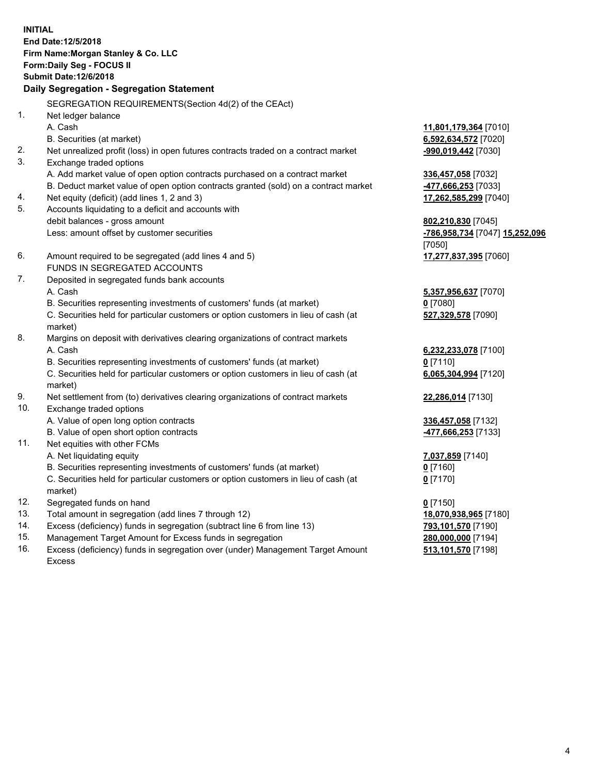**INITIAL End Date:12/5/2018 Firm Name:Morgan Stanley & Co. LLC Form:Daily Seg - FOCUS II Submit Date:12/6/2018 Daily Segregation - Segregation Statement** SEGREGATION REQUIREMENTS(Section 4d(2) of the CEAct) 1. Net ledger balance A. Cash **11,801,179,364** [7010] B. Securities (at market) **6,592,634,572** [7020] 2. Net unrealized profit (loss) in open futures contracts traded on a contract market **-990,019,442** [7030] 3. Exchange traded options A. Add market value of open option contracts purchased on a contract market **336,457,058** [7032] B. Deduct market value of open option contracts granted (sold) on a contract market **-477,666,253** [7033] 4. Net equity (deficit) (add lines 1, 2 and 3) **17,262,585,299** [7040] 5. Accounts liquidating to a deficit and accounts with debit balances - gross amount **802,210,830** [7045] Less: amount offset by customer securities **-786,958,734** [7047] **15,252,096** [7050] 6. Amount required to be segregated (add lines 4 and 5) **17,277,837,395** [7060] FUNDS IN SEGREGATED ACCOUNTS 7. Deposited in segregated funds bank accounts A. Cash **5,357,956,637** [7070] B. Securities representing investments of customers' funds (at market) **0** [7080] C. Securities held for particular customers or option customers in lieu of cash (at market) **527,329,578** [7090] 8. Margins on deposit with derivatives clearing organizations of contract markets A. Cash **6,232,233,078** [7100] B. Securities representing investments of customers' funds (at market) **0** [7110] C. Securities held for particular customers or option customers in lieu of cash (at market) **6,065,304,994** [7120] 9. Net settlement from (to) derivatives clearing organizations of contract markets **22,286,014** [7130] 10. Exchange traded options A. Value of open long option contracts **336,457,058** [7132] B. Value of open short option contracts **-477,666,253** [7133] 11. Net equities with other FCMs A. Net liquidating equity **7,037,859** [7140] B. Securities representing investments of customers' funds (at market) **0** [7160] C. Securities held for particular customers or option customers in lieu of cash (at market) **0** [7170] 12. Segregated funds on hand **0** [7150] 13. Total amount in segregation (add lines 7 through 12) **18,070,938,965** [7180] 14. Excess (deficiency) funds in segregation (subtract line 6 from line 13) **793,101,570** [7190]

- 15. Management Target Amount for Excess funds in segregation **280,000,000** [7194]
- 16. Excess (deficiency) funds in segregation over (under) Management Target Amount Excess

**513,101,570** [7198]